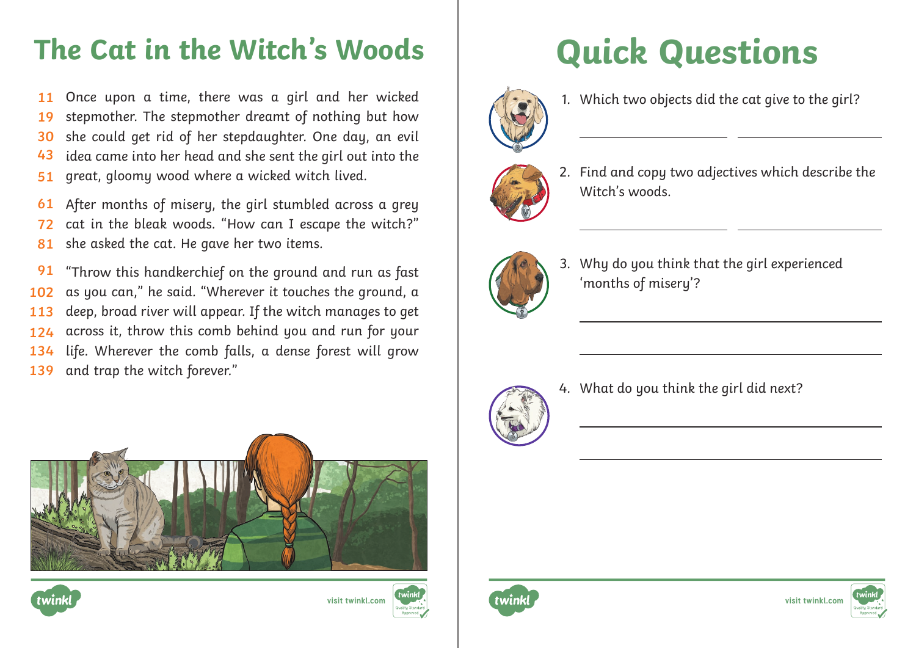# The Cat in the Witch's Woods | Quick Questions

Once upon a time, there was a girl and her wicked stepmother. The stepmother dreamt of nothing but how she could get rid of her stepdaughter. One day, an evil idea came into her head and she sent the girl out into the great, gloomy wood where a wicked witch lived. **11 19 30 43 51**

After months of misery, the girl stumbled across a grey cat in the bleak woods. "How can I escape the witch?" she asked the cat. He gave her two items. **61 72 81**

"Throw this handkerchief on the ground and run as fast as you can," he said. "Wherever it touches the ground, a deep, broad river will appear. If the witch manages to get across it, throw this comb behind you and run for your life. Wherever the comb falls, a dense forest will grow and trap the witch forever." **91 102 113 124 134 139**









 $\overline{a}$ 

 $\overline{a}$ 

1. Which two objects did the cat give to the girl?



2. Find and copy two adjectives which describe the Witch's woods



3. Why do you think that the girl experienced 'months of misery'?



4. What do you think the girl did next?